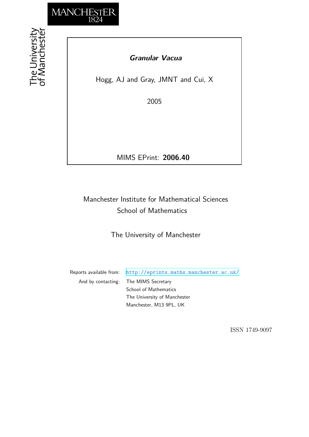

The University<br>of Manchestei

# *Granular Vacua*

Hogg, AJ and Gray, JMNT and Cui, X

2005

MIMS EPrint: **2006.40**

# Manchester Institute for Mathematical Sciences School of Mathematics

The University of Manchester

Reports available from: <http://eprints.maths.manchester.ac.uk/> And by contacting: The MIMS Secretary School of Mathematics The University of Manchester Manchester, M13 9PL, UK

ISSN 1749-9097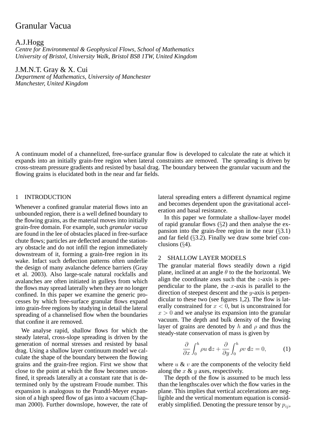# Granular Vacua

A.J.Hogg *Centre for Environmental & Geophysical Flows, School of Mathematics University of Bristol, University Walk, Bristol BS8 1TW, United Kingdom*

J.M.N.T. Gray & X. Cui *Department of Mathematics, University of Manchester Manchester, United Kingdom*

A continuum model of a channelized, free-surface granular flow is developed to calculate the rate at which it expands into an initially grain-free region when lateral constraints are removed. The spreading is driven by cross-stream pressure gradients and resisted by basal drag. The boundary between the granular vacuum and the flowing grains is elucidated both in the near and far fields.

# 1 INTRODUCTION

Whenever a confined granular material flows into an unbounded region, there is a well defined boundary to the flowing grains, as the material moves into initially grain-free domain. For example, such *granular vacua* are found in the lee of obstacles placed in free-surface chute flows; particles are deflected around the stationary obstacle and do not infill the region immediately downstream of it, forming a grain-free region in its wake. Infact such deflection patterns often underlie the design of many avalanche defence barriers (Gray et al. 2003). Also large-scale natural rockfalls and avalanches are often initiated in gulleys from which the flows may spread laterally when they are no longer confined. In this paper we examine the generic processes by which free-surface granular flows expand into grain-free regions by studying in detail the lateral spreading of a channelised flow when the boundaries that confine it are removed.

We analyse rapid, shallow flows for which the steady lateral, cross-slope spreading is driven by the generation of normal stresses and resisted by basal drag. Using a shallow layer continuum model we calculate the shape of the boundary between the flowing grains and the grain-free region. First we show that close to the point at which the flow becomes unconfined, it spreads laterally at a constant rate that is determined only by the upstream Froude number. This expansion is analogous to the Prandtl-Meyer expansion of a high speed flow of gas into a vacuum (Chapman 2000). Further downslope, however, the rate of lateral spreading enters a different dynamical regime and becomes dependent upon the gravitational acceleration and basal resistance.

In this paper we formulate a shallow-layer model of rapid granular flows  $(\S2)$  and then analyse the expansion into the grain-free region in the near  $(\S 3.1)$ and far field  $(\S3.2)$ . Finally we draw some brief conclusions (§4).

# 2 SHALLOW LAYER MODELS

The granular material flows steadily down a rigid plane, inclined at an angle  $\theta$  to the the horizontal. We align the coordinate axes such that the  $z$ -axis is perpendicular to the plane, the  $x$ -axis is parallel to the direction of steepest descent and the  $y$ -axis is perpendicular to these two (see figures 1,2). The flow is laterally constrained for  $x < 0$ , but is unconstrained for  $x > 0$  and we analyse its expansion into the granular vacuum. The depth and bulk density of the flowing layer of grains are denoted by h and  $\rho$  and thus the steady-state conservation of mass is given by

$$
\frac{\partial}{\partial x} \int_0^h \rho u \, dz + \frac{\partial}{\partial y} \int_0^h \rho v \, dz = 0, \quad (1)
$$

where  $u \& v$  are the components of the velocity field along the  $x \& y$  axes, respectively.

The depth of the flow is assumed to be much less than the lengthscales over which the flow varies in the plane. This implies that vertical accelerations are negligible and the vertical momentum equation is considerably simplified. Denoting the pressure tensor by  $p_{ij}$ ,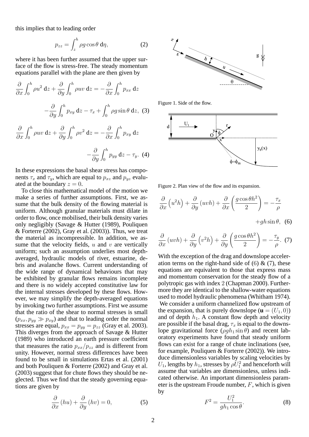this implies that to leading order

$$
p_{zz} = \int_{z}^{h} \rho g \cos \theta \, d\eta, \qquad (2)
$$

where it has been further assumed that the upper surface of the flow is stress-free. The steady momentum equations parallel with the plane are then given by

$$
\frac{\partial}{\partial x} \int_0^h \rho u^2 \,dz + \frac{\partial}{\partial y} \int_0^h \rho u v \,dz = -\frac{\partial}{\partial x} \int_0^h p_{xx} \,dz
$$

$$
-\frac{\partial}{\partial y} \int_0^h p_{xy} \,dz - \tau_x + \int_0^h \rho g \sin \theta \,dz, \tag{3}
$$

$$
\frac{\partial}{\partial x} \int_0^h \rho u v \,dz + \frac{\partial}{\partial y} \int_0^h \rho v^2 \,dz = -\frac{\partial}{\partial x} \int_0^h p_{xy} \,dz
$$

$$
-\frac{\partial}{\partial y}\int_0^h p_{yy}\,\mathrm{d}z - \tau_y. \tag{4}
$$

In these expressions the basal shear stress has components  $\tau_x$  and  $\tau_y$ , which are equal to  $p_{xz}$  and  $p_{yz}$  evaluated at the boundary  $z = 0$ .

To close this mathematical model of the motion we make a series of further assumptions. First, we assume that the bulk density of the flowing material is uniform. Although granular materials must dilate in order to flow, once mobilised, their bulk density varies only negligibly (Savage & Hutter (1989), Pouliquen  $&$  Forterre (2002), Gray et al. (2003)). Thus, we treat the material as incompressible. In addition, we assume that the velocity fields,  $u$  and  $v$  are vertically uniform; such an assumption underlies most depthaveraged, hydraulic models of river, estuarine, debris and avalanche flows. Current understanding of the wide range of dynamical behaviours that may be exhibited by granular flows remains incomplete and there is no widely accepted constitutive law for the internal stresses developed by these flows. However, we may simplify the depth-averaged equations by invoking two further assumptions. First we assume that the ratio of the shear to normal stresses is small  $(p_{xx}, p_{yy} \gg p_{xy})$  and that to leading order the normal stresses are equal,  $p_{xx} = p_{yy} = p_{zz}$  (Gray et al. 2003). This diverges from the approach of Savage & Hutter (1989) who introduced an earth pressure coefficient that measures the ratio  $p_{xx}/p_{zz}$  and is different from unity. However, normal stress differences have been found to be small in simulations Ertas et al. (2001) and both Pouliquen & Forterre (2002) and Gray et al. (2003) suggest that for chute flows they should be neglected. Thus we find that the steady governing equations are given by

$$
\frac{\partial}{\partial x}(hu) + \frac{\partial}{\partial y}(hv) = 0,\tag{5}
$$



Figure 1. Side of the flow.



Figure 2. Plan view of the flow and its expansion.

$$
\frac{\partial}{\partial x}\left(u^2h\right) + \frac{\partial}{\partial y}\left(uvh\right) + \frac{\partial}{\partial x}\left(\frac{g\cos\theta h^2}{2}\right) = -\frac{\tau_x}{\rho}
$$

$$
+gh\sin\theta,\tag{6}
$$

$$
\frac{\partial}{\partial x}(uvh) + \frac{\partial}{\partial y}(v^2h) + \frac{\partial}{\partial y}\left(\frac{g\cos\theta h^2}{2}\right) = -\frac{\tau_y}{\rho}.
$$
 (7)

With the exception of the drag and downslope acceleration terms on the right-hand side of  $(6)$  &  $(7)$ , these equations are equivalent to those that express mass and momentum conservation for the steady flow of a polytropic gas with index 2 (Chapman 2000). Furthermore they are identical to the shallow-water equations used to model hydraulic phenomena (Whitham 1974). We consider a uniform channelized flow upstream of the expansion, that is purely downslope  $(\mathbf{u} = (U_1, 0))$ and of depth  $h_1$ . A constant flow depth and velocity are possible if the basal drag,  $\tau_x$  is equal to the downslope gravitational force  $(\rho gh_1 \sin \theta)$  and recent laboratory experiments have found that steady uniform flows can exist for a range of chute inclinations (see, for example, Pouliquen & Forterre (2002)). We introduce dimensionless variables by scaling velocities by  $U_1$ , lengths by  $h_1$ , stresses by  $\rho U_1^2$  and henceforth will assume that variables are dimensionless, unless indicated otherwise. An important dimensionless parameter is the upstream Froude number,  $F$ , which is given by

$$
F^2 = \frac{U_1^2}{gh_1 \cos \theta}.\tag{8}
$$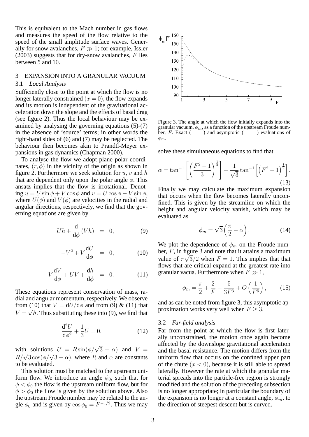This is equivalent to the Mach number in gas flows and measures the speed of the flow relative to the speed of the small amplitude surface waves. Generally for snow avalanches,  $F \gg 1$ ; for example, Issler  $(2003)$  suggests that for dry-snow avalanches, F lies between 5 and 10.

#### 3 EXPANSION INTO A GRANULAR VACUUM

### 3.1 *Local Analysis*

Sufficiently close to the point at which the flow is no longer laterally constrained  $(x = 0)$ , the flow expands and its motion is independent of the gravitational acceleration down the slope and the effects of basal drag (see figure 2). Thus the local behaviour may be examined by analysing the governing equations (5)-(7) in the absence of 'source' terms; in other words the right-hand sides of (6) and (7) may be neglected. The behaviour then becomes akin to Prandtl-Meyer expansions in gas dynamics (Chapman 2000).

To analyse the flow we adopt plane polar coordinates,  $(r, \phi)$  in the vicinity of the origin as shown in figure 2. Furthermore we seek solution for  $u, v$  and  $h$ that are dependent only upon the polar angle  $\phi$ . This ansatz implies that the flow is irrotational. Denoting  $u = U \sin \phi + V \cos \phi$  and  $v = U \cos \phi - V \sin \phi$ , where  $U(\phi)$  and  $V(\phi)$  are velocities in the radial and angular directions, respectively, we find that the governing equations are given by

$$
Uh + \frac{\mathrm{d}}{\mathrm{d}\phi}(Vh) = 0, \tag{9}
$$

$$
-V^2 + V \frac{\mathrm{d}U}{\mathrm{d}\phi} = 0, \qquad (10)
$$

$$
V\frac{\mathrm{d}V}{\mathrm{d}\phi} + UV + \frac{\mathrm{d}h}{\mathrm{d}\phi} = 0. \tag{11}
$$

These equations represent conservation of mass, radial and angular momentum, respectively. We observe from (10) that  $V = dU/d\phi$  and from (9) & (11) that  $V = \sqrt{h}$ . Thus substituting these into (9), we find that

$$
\frac{d^2U}{d\phi^2} + \frac{1}{3}U = 0,
$$
 (12)

with solutions  $U = R\sin(\phi/\sqrt{3} + \alpha)$  and  $V =$  $R/\sqrt{3}\cos(\phi/\sqrt{3}+\alpha)$ , where R and  $\alpha$  are constants to be evaluated.

This solution must be matched to the upstream uniform flow. We introduce an angle  $\phi_0$ , such that for  $\phi < \phi_0$  the flow is the upstream uniform flow, but for  $\phi > \phi_0$  the flow is given by the solution above. Also the upstream Froude number may be related to the angle  $\phi_0$  and is given by  $\cos \phi_0 = F^{-1/2}$ . Thus we may



Figure 3. The angle at which the flow initially expands into the granular vacuum,  $\phi_m$ , as a function of the upstream Froude number, F. Exact  $($ ——) and asymptotic  $($  -  $)$  evaluations of  $\phi_m$ .

solve these simultaneous equations to find that

$$
\alpha = \tan^{-1} \left[ \left( \frac{F^2 - 1}{3} \right)^{\frac{1}{2}} \right] - \frac{1}{\sqrt{3}} \tan^{-1} \left[ \left( F^2 - 1 \right)^{\frac{1}{2}} \right].
$$
\n(13)

Finally we may calculate the maximum expansion that occurs when the flow becomes laterally unconfined. This is given by the streamline on which the height and angular velocity vanish, which may be evaluated as

$$
\phi_m = \sqrt{3} \left( \frac{\pi}{2} - \alpha \right). \tag{14}
$$

We plot the dependence of  $\phi_m$  on the Froude number,  $F$ , in figure 3 and note that it attains a maximum value of  $\pi\sqrt{3}/2$  when  $F = 1$ . This implies that that flows that are critical expand at the greatest rate into granular vacua. Furthermore when  $F \gg 1$ ,

$$
\phi_m = \frac{\pi}{2} + \frac{2}{F} - \frac{5}{3F^3} + O\left(\frac{1}{F^5}\right),\tag{15}
$$

and as can be noted from figure 3, this asymptotic approximation works very well when  $F \geq 3$ .

# 3.2 *Far-field analysis*

Far from the point at which the flow is first laterally unconstrained, the motion once again become affected by the downslope gravitational acceleration and the basal resistance. The motion differs from the uniform flow that occurs on the confined upper part of the chute  $(x < 0)$ , because it is still able to spread laterally. However the rate at which the granular material spreads into the particle-free region is strongly modified and the solution of the preceding subsection is no longer appropriate; in particular the boundary of the expansion is no longer at a constant angle,  $\phi_m$ , to the direction of steepest descent but is curved.